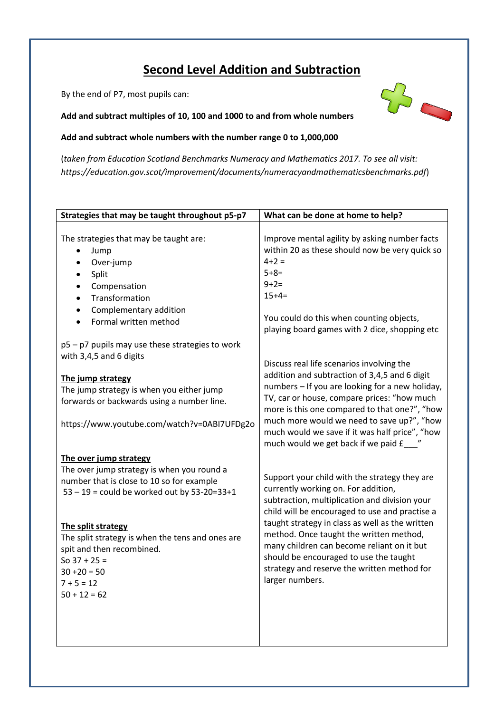# **Second Level Addition and Subtraction**

By the end of P7, most pupils can:

**Add and subtract multiples of 10, 100 and 1000 to and from whole numbers** 

## **Add and subtract whole numbers with the number range 0 to 1,000,000**

(*taken from Education Scotland Benchmarks Numeracy and Mathematics 2017. To see all visit: https://education.gov.scot/improvement/documents/numeracyandmathematicsbenchmarks.pdf*)

| Strategies that may be taught throughout p5-p7                                                                                                                                                                                                                                                                                                          | What can be done at home to help?                                                                                                                                                                                                                                                                                                                                                                                                               |
|---------------------------------------------------------------------------------------------------------------------------------------------------------------------------------------------------------------------------------------------------------------------------------------------------------------------------------------------------------|-------------------------------------------------------------------------------------------------------------------------------------------------------------------------------------------------------------------------------------------------------------------------------------------------------------------------------------------------------------------------------------------------------------------------------------------------|
| The strategies that may be taught are:<br>Jump<br>Over-jump<br>Split<br>Compensation<br>Transformation<br>Complementary addition<br>$\bullet$<br>Formal written method<br>$\bullet$                                                                                                                                                                     | Improve mental agility by asking number facts<br>within 20 as these should now be very quick so<br>$4 + 2 =$<br>$5 + 8 =$<br>$9 + 2 =$<br>$15+4=$<br>You could do this when counting objects,<br>playing board games with 2 dice, shopping etc                                                                                                                                                                                                  |
| p5 - p7 pupils may use these strategies to work<br>with 3,4,5 and 6 digits<br>The jump strategy<br>The jump strategy is when you either jump<br>forwards or backwards using a number line.<br>https://www.youtube.com/watch?v=0ABI7UFDg2o                                                                                                               | Discuss real life scenarios involving the<br>addition and subtraction of 3,4,5 and 6 digit<br>numbers - If you are looking for a new holiday,<br>TV, car or house, compare prices: "how much<br>more is this one compared to that one?", "how<br>much more would we need to save up?", "how<br>much would we save if it was half price", "how<br>much would we get back if we paid £__                                                          |
| The over jump strategy<br>The over jump strategy is when you round a<br>number that is close to 10 so for example<br>$53 - 19 =$ could be worked out by $53 - 20 = 33 + 1$<br>The split strategy<br>The split strategy is when the tens and ones are<br>spit and then recombined.<br>So $37 + 25 =$<br>$30 + 20 = 50$<br>$7 + 5 = 12$<br>$50 + 12 = 62$ | Support your child with the strategy they are<br>currently working on. For addition,<br>subtraction, multiplication and division your<br>child will be encouraged to use and practise a<br>taught strategy in class as well as the written<br>method. Once taught the written method,<br>many children can become reliant on it but<br>should be encouraged to use the taught<br>strategy and reserve the written method for<br>larger numbers. |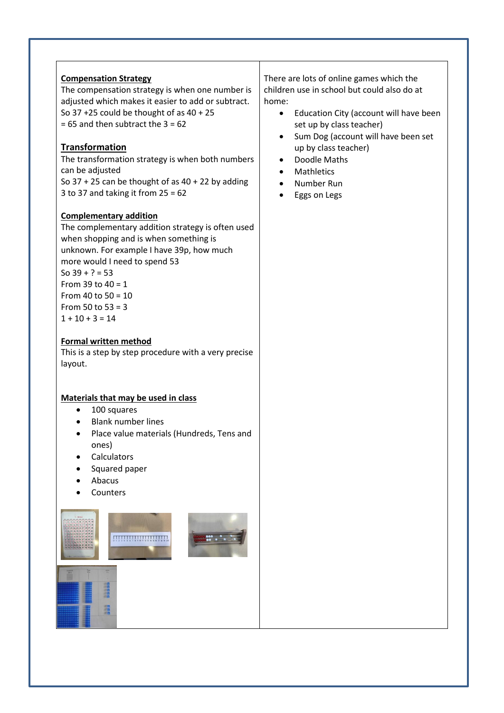#### **Compensation Strategy**

The compensation strategy is when one number is adjusted which makes it easier to add or subtract. So 37 +25 could be thought of as 40 + 25  $= 65$  and then subtract the  $3 = 62$ 

## **Transformation**

The transformation strategy is when both numbers can be adjusted So  $37 + 25$  can be thought of as  $40 + 22$  by adding 3 to 37 and taking it from  $25 = 62$ 

#### **Complementary addition**

The complementary addition strategy is often used when shopping and is when something is unknown. For example I have 39p, how much more would I need to spend 53 So  $39 + ? = 53$ From 39 to  $40 = 1$ From 40 to  $50 = 10$ From 50 to  $53 = 3$  $1 + 10 + 3 = 14$ 

#### **Formal written method**

This is a step by step procedure with a very precise layout.

#### **Materials that may be used in class**

- 100 squares
- Blank number lines
- Place value materials (Hundreds, Tens and ones)
- **Calculators**
- Squared paper
- Abacus
- **Counters**

僵



There are lots of online games which the children use in school but could also do at home:

- **•** Education City (account will have been set up by class teacher)
- Sum Dog (account will have been set up by class teacher)
- Doodle Maths
- **Mathletics**
- Number Run
- Eggs on Legs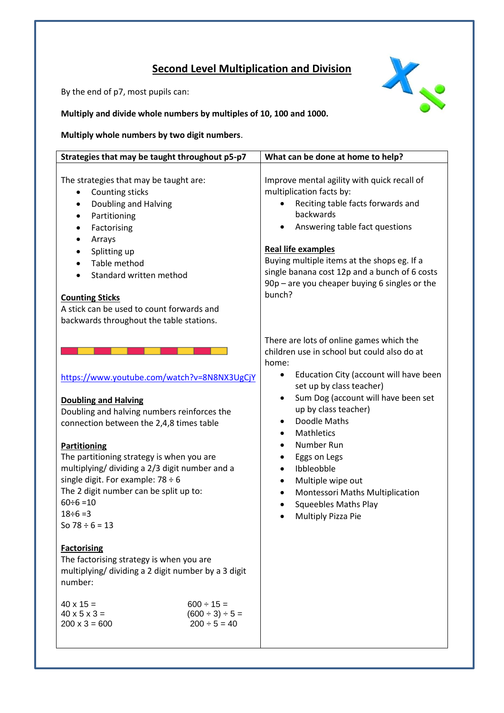# **Second Level Multiplication and Division**

X

By the end of p7, most pupils can:

**Multiply and divide whole numbers by multiples of 10, 100 and 1000.** 

**Multiply whole numbers by two digit numbers**.

| Strategies that may be taught throughout p5-p7                                                                                                                                                                                                                                                                                                                                                                                                                                                                                                                                                                                                                                                                               | What can be done at home to help?                                                                                                                                                                                                                                                                                                                                                                                                                                                                                                 |
|------------------------------------------------------------------------------------------------------------------------------------------------------------------------------------------------------------------------------------------------------------------------------------------------------------------------------------------------------------------------------------------------------------------------------------------------------------------------------------------------------------------------------------------------------------------------------------------------------------------------------------------------------------------------------------------------------------------------------|-----------------------------------------------------------------------------------------------------------------------------------------------------------------------------------------------------------------------------------------------------------------------------------------------------------------------------------------------------------------------------------------------------------------------------------------------------------------------------------------------------------------------------------|
| The strategies that may be taught are:<br>Counting sticks<br>٠<br>Doubling and Halving<br>Partitioning<br>Factorising<br>Arrays<br>Splitting up<br>Table method<br>Standard written method<br><b>Counting Sticks</b><br>A stick can be used to count forwards and<br>backwards throughout the table stations.                                                                                                                                                                                                                                                                                                                                                                                                                | Improve mental agility with quick recall of<br>multiplication facts by:<br>Reciting table facts forwards and<br>backwards<br>Answering table fact questions<br><b>Real life examples</b><br>Buying multiple items at the shops eg. If a<br>single banana cost 12p and a bunch of 6 costs<br>90p - are you cheaper buying 6 singles or the<br>bunch?                                                                                                                                                                               |
| https://www.youtube.com/watch?v=8N8NX3UgCjY<br><b>Doubling and Halving</b><br>Doubling and halving numbers reinforces the<br>connection between the 2,4,8 times table<br><b>Partitioning</b><br>The partitioning strategy is when you are<br>multiplying/ dividing a 2/3 digit number and a<br>single digit. For example: $78 \div 6$<br>The 2 digit number can be split up to:<br>$60 \div 6 = 10$<br>$18 \div 6 = 3$<br>So $78 \div 6 = 13$<br><b>Factorising</b><br>The factorising strategy is when you are<br>multiplying/ dividing a 2 digit number by a 3 digit<br>number:<br>$40 \times 15 =$<br>$600 \div 15 =$<br>$(600 \div 3) \div 5 =$<br>$40 \times 5 \times 3 =$<br>$200 \times 3 = 600$<br>$200 \div 5 = 40$ | There are lots of online games which the<br>children use in school but could also do at<br>home:<br>Education City (account will have been<br>٠<br>set up by class teacher)<br>Sum Dog (account will have been set<br>$\bullet$<br>up by class teacher)<br>Doodle Maths<br>٠<br>Mathletics<br>$\bullet$<br>Number Run<br>$\bullet$<br>Eggs on Legs<br>$\bullet$<br>Ibbleobble<br>$\bullet$<br>Multiple wipe out<br>$\bullet$<br>Montessori Maths Multiplication<br>$\bullet$<br><b>Squeebles Maths Play</b><br>Multiply Pizza Pie |